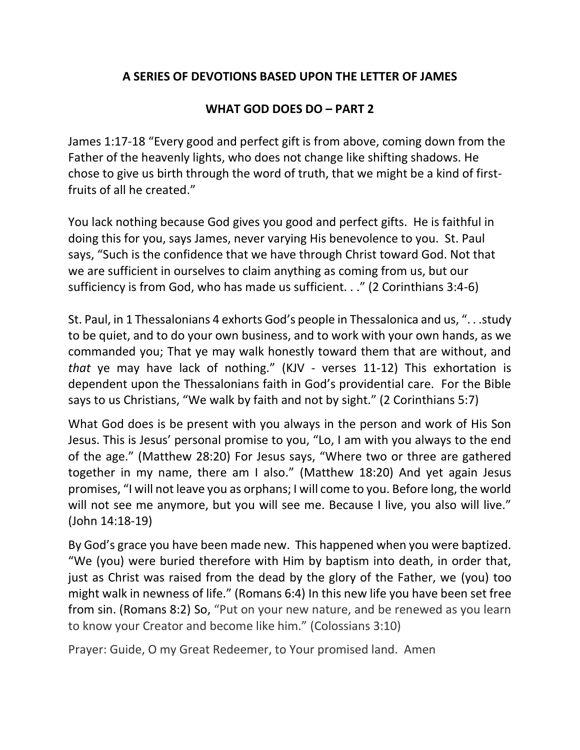## **A SERIES OF DEVOTIONS BASED UPON THE LETTER OF JAMES**

## **WHAT GOD DOES DO – PART 2**

James 1:17-18 "Every good and perfect gift is from above, coming down from the Father of the heavenly lights, who does not change like shifting shadows. He chose to give us birth through the word of truth, that we might be a kind of firstfruits of all he created."

You lack nothing because God gives you good and perfect gifts. He is faithful in doing this for you, says James, never varying His benevolence to you. St. Paul says, "Such is the confidence that we have through Christ toward God. Not that we are sufficient in ourselves to claim anything as coming from us, but our sufficiency is from God, who has made us sufficient. . ." (2 Corinthians 3:4-6)

St. Paul, in 1 Thessalonians 4 exhorts God's people in Thessalonica and us, ". . .study to be quiet, and to do your own business, and to work with your own hands, as we commanded you; That ye may walk honestly toward them that are without, and *that* ye may have lack of nothing." (KJV - verses 11-12) This exhortation is dependent upon the Thessalonians faith in God's providential care. For the Bible says to us Christians, "We walk by faith and not by sight." (2 Corinthians 5:7)

What God does is be present with you always in the person and work of His Son Jesus. This is Jesus' personal promise to you, "Lo, I am with you always to the end of the age." (Matthew 28:20) For Jesus says, "Where two or three are gathered together in my name, there am I also." (Matthew 18:20) And yet again Jesus promises, "I will not leave you as orphans; I will come to you. Before long, the world will not see me anymore, but you will see me. Because I live, you also will live." (John 14:18-19)

By God's grace you have been made new. This happened when you were baptized. "We (you) were buried therefore with Him by baptism into death, in order that, just as Christ was raised from the dead by the glory of the Father, we (you) too might walk in newness of life." (Romans 6:4) In this new life you have been set free from sin. (Romans 8:2) So, "Put on your new nature, and be renewed as you learn to know your Creator and become like him." (Colossians 3:10)

Prayer: Guide, O my Great Redeemer, to Your promised land. Amen